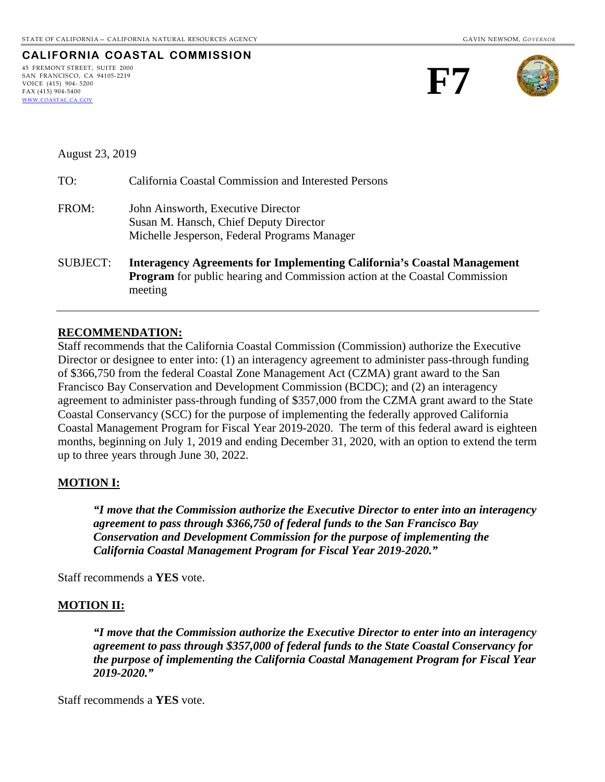| CALIFORNIA COASTAL COMMISSION |  |
|-------------------------------|--|
| 45 FREMONT STREET. SUITE 2000 |  |
| SAN FRANCISCO, CA 94105-2219  |  |
| VOICE (415) 904-5200          |  |
| FAX (415) 904-5400            |  |
| WWW.COASTAL.CA.GOV            |  |





August 23, 2019

| TO:             | California Coastal Commission and Interested Persons                                                                                                                           |
|-----------------|--------------------------------------------------------------------------------------------------------------------------------------------------------------------------------|
| FROM:           | John Ainsworth, Executive Director<br>Susan M. Hansch, Chief Deputy Director<br>Michelle Jesperson, Federal Programs Manager                                                   |
| <b>SUBJECT:</b> | <b>Interagency Agreements for Implementing California's Coastal Management</b><br><b>Program</b> for public hearing and Commission action at the Coastal Commission<br>meeting |

### **RECOMMENDATION:**

Staff recommends that the California Coastal Commission (Commission) authorize the Executive Director or designee to enter into: (1) an interagency agreement to administer pass-through funding of \$366,750 from the federal Coastal Zone Management Act (CZMA) grant award to the San Francisco Bay Conservation and Development Commission (BCDC); and (2) an interagency agreement to administer pass-through funding of \$357,000 from the CZMA grant award to the State Coastal Conservancy (SCC) for the purpose of implementing the federally approved California Coastal Management Program for Fiscal Year 2019-2020. The term of this federal award is eighteen months, beginning on July 1, 2019 and ending December 31, 2020, with an option to extend the term up to three years through June 30, 2022.

### **MOTION I:**

*"I move that the Commission authorize the Executive Director to enter into an interagency agreement to pass through \$366,750 of federal funds to the San Francisco Bay Conservation and Development Commission for the purpose of implementing the California Coastal Management Program for Fiscal Year 2019-2020."* 

Staff recommends a **YES** vote.

### **MOTION II:**

*"I move that the Commission authorize the Executive Director to enter into an interagency agreement to pass through \$357,000 of federal funds to the State Coastal Conservancy for the purpose of implementing the California Coastal Management Program for Fiscal Year 2019-2020."* 

Staff recommends a **YES** vote.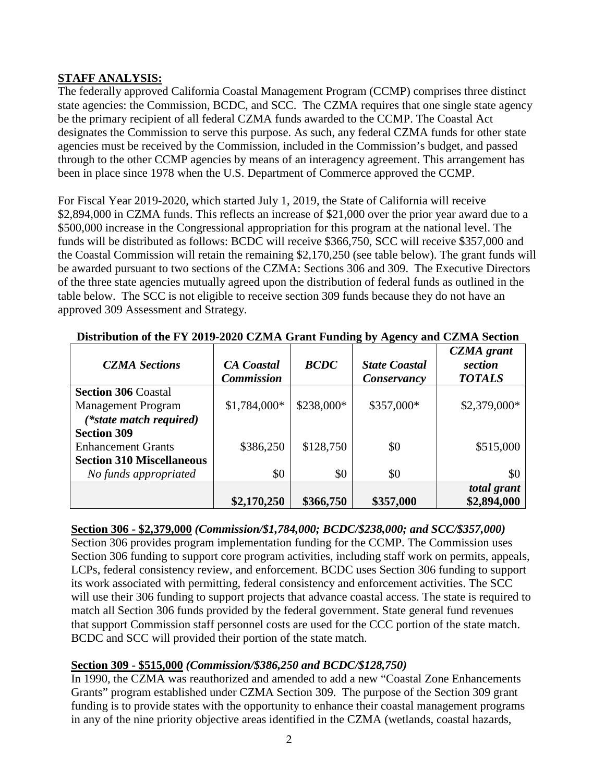## **STAFF ANALYSIS:**

The federally approved California Coastal Management Program (CCMP) comprises three distinct state agencies: the Commission, BCDC, and SCC. The CZMA requires that one single state agency be the primary recipient of all federal CZMA funds awarded to the CCMP. The Coastal Act designates the Commission to serve this purpose. As such, any federal CZMA funds for other state agencies must be received by the Commission, included in the Commission's budget, and passed through to the other CCMP agencies by means of an interagency agreement. This arrangement has been in place since 1978 when the U.S. Department of Commerce approved the CCMP.

For Fiscal Year 2019-2020, which started July 1, 2019, the State of California will receive \$2,894,000 in CZMA funds. This reflects an increase of \$21,000 over the prior year award due to a \$500,000 increase in the Congressional appropriation for this program at the national level. The funds will be distributed as follows: BCDC will receive \$366,750, SCC will receive \$357,000 and the Coastal Commission will retain the remaining \$2,170,250 (see table below). The grant funds will be awarded pursuant to two sections of the CZMA: Sections 306 and 309. The Executive Directors of the three state agencies mutually agreed upon the distribution of federal funds as outlined in the table below. The SCC is not eligible to receive section 309 funds because they do not have an approved 309 Assessment and Strategy.

| <b>CZMA</b> Sections             | <b>CA</b> Coastal<br><b>Commission</b> | <b>BCDC</b> | <b>State Coastal</b><br>Conservancy | <b>CZMA</b> grant<br>section<br><b>TOTALS</b> |
|----------------------------------|----------------------------------------|-------------|-------------------------------------|-----------------------------------------------|
| <b>Section 306 Coastal</b>       |                                        |             |                                     |                                               |
| <b>Management Program</b>        | $$1,784,000*$                          | \$238,000*  | \$357,000*                          | $$2,379,000*$                                 |
| (*state match required)          |                                        |             |                                     |                                               |
| <b>Section 309</b>               |                                        |             |                                     |                                               |
| <b>Enhancement Grants</b>        | \$386,250                              | \$128,750   | \$0                                 | \$515,000                                     |
| <b>Section 310 Miscellaneous</b> |                                        |             |                                     |                                               |
| No funds appropriated            | \$0                                    | \$0         | \$0                                 | \$0                                           |
|                                  |                                        |             |                                     | total grant                                   |
|                                  | \$2,170,250                            | \$366,750   | \$357,000                           | \$2,894,000                                   |

| Distribution of the FY 2019-2020 CZMA Grant Funding by Agency and CZMA Section |  |  |  |  |  |
|--------------------------------------------------------------------------------|--|--|--|--|--|
|                                                                                |  |  |  |  |  |

# **Section 306 - \$2,379,000** *(Commission/\$1,784,000; BCDC/\$238,000; and SCC/\$357,000)*

Section 306 provides program implementation funding for the CCMP. The Commission uses Section 306 funding to support core program activities, including staff work on permits, appeals, LCPs, federal consistency review, and enforcement. BCDC uses Section 306 funding to support its work associated with permitting, federal consistency and enforcement activities. The SCC will use their 306 funding to support projects that advance coastal access. The state is required to match all Section 306 funds provided by the federal government. State general fund revenues that support Commission staff personnel costs are used for the CCC portion of the state match. BCDC and SCC will provided their portion of the state match.

# **Section 309 - \$515,000** *(Commission/\$386,250 and BCDC/\$128,750)*

In 1990, the CZMA was reauthorized and amended to add a new "Coastal Zone Enhancements Grants" program established under CZMA Section 309. The purpose of the Section 309 grant funding is to provide states with the opportunity to enhance their coastal management programs in any of the nine priority objective areas identified in the CZMA (wetlands, coastal hazards,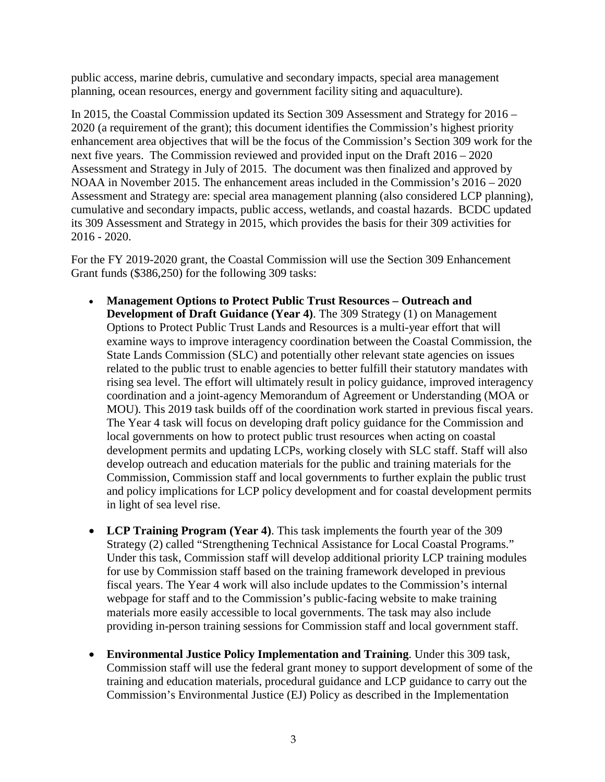public access, marine debris, cumulative and secondary impacts, special area management planning, ocean resources, energy and government facility siting and aquaculture).

In 2015, the Coastal Commission updated its Section 309 Assessment and Strategy for 2016 – 2020 (a requirement of the grant); this document identifies the Commission's highest priority enhancement area objectives that will be the focus of the Commission's Section 309 work for the next five years. The Commission reviewed and provided input on the Draft 2016 – 2020 Assessment and Strategy in July of 2015. The document was then finalized and approved by NOAA in November 2015. The enhancement areas included in the Commission's 2016 – 2020 Assessment and Strategy are: special area management planning (also considered LCP planning), cumulative and secondary impacts, public access, wetlands, and coastal hazards. BCDC updated its 309 Assessment and Strategy in 2015, which provides the basis for their 309 activities for 2016 - 2020.

For the FY 2019-2020 grant, the Coastal Commission will use the Section 309 Enhancement Grant funds (\$386,250) for the following 309 tasks:

- **Management Options to Protect Public Trust Resources Outreach and Development of Draft Guidance (Year 4)**. The 309 Strategy (1) on Management Options to Protect Public Trust Lands and Resources is a multi-year effort that will examine ways to improve interagency coordination between the Coastal Commission, the State Lands Commission (SLC) and potentially other relevant state agencies on issues related to the public trust to enable agencies to better fulfill their statutory mandates with rising sea level. The effort will ultimately result in policy guidance, improved interagency coordination and a joint-agency Memorandum of Agreement or Understanding (MOA or MOU). This 2019 task builds off of the coordination work started in previous fiscal years. The Year 4 task will focus on developing draft policy guidance for the Commission and local governments on how to protect public trust resources when acting on coastal development permits and updating LCPs, working closely with SLC staff. Staff will also develop outreach and education materials for the public and training materials for the Commission, Commission staff and local governments to further explain the public trust and policy implications for LCP policy development and for coastal development permits in light of sea level rise.
- **LCP Training Program (Year 4)**. This task implements the fourth year of the 309 Strategy (2) called "Strengthening Technical Assistance for Local Coastal Programs." Under this task, Commission staff will develop additional priority LCP training modules for use by Commission staff based on the training framework developed in previous fiscal years. The Year 4 work will also include updates to the Commission's internal webpage for staff and to the Commission's public-facing website to make training materials more easily accessible to local governments. The task may also include providing in-person training sessions for Commission staff and local government staff.
- **Environmental Justice Policy Implementation and Training**. Under this 309 task, Commission staff will use the federal grant money to support development of some of the training and education materials, procedural guidance and LCP guidance to carry out the Commission's Environmental Justice (EJ) Policy as described in the Implementation